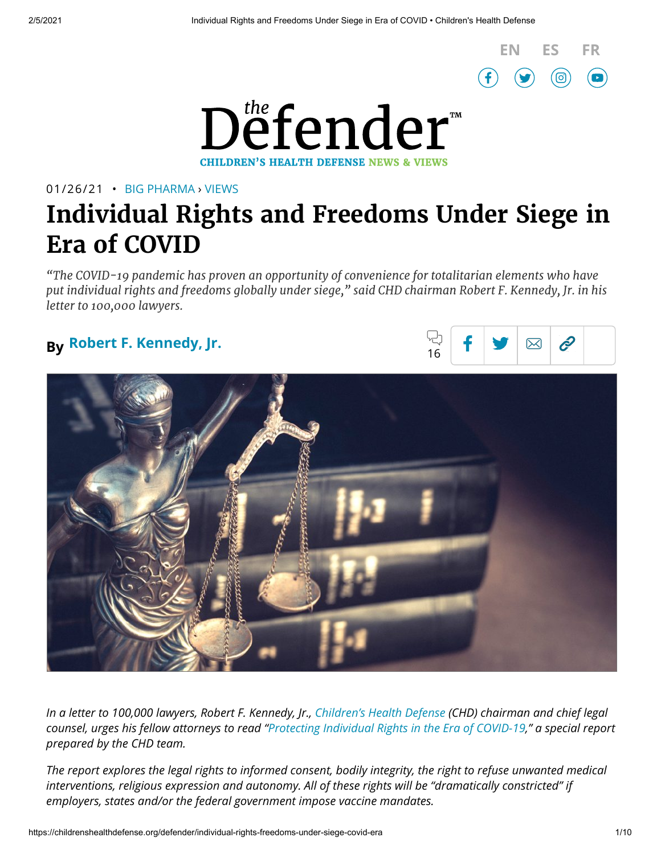



### 01/26/21 • BIG [PHARMA](https://childrenshealthdefense.org/defender_category/big-pharma) › [VIEWS](https://childrenshealthdefense.org/defender-views)

# **Individual Rights and Freedoms Under Siege in Era of COVID**

*"The COVID-19 pandemic has proven an opportunity of convenience for totalitarian elements who have put individual rights and freedoms globally under siege," said CHD chairman Robert F. Kennedy, Jr. in his letter to 100,000 lawyers.*

## **By Robert F. [Kennedy,](https://childrenshealthdefense.org/authors/robert-f-kennedy-jr/) Jr.**





In a letter to 100,000 lawyers, Robert F. Kennedy, Jr., [Children's](https://childrenshealthdefense.org/) Health Defense (CHD) chairman and chief legal *counsel, urges his fellow attorneys to read "Protecting [Individual Rights](https://childrenshealthdefense.org/wp-content/uploads/protecting-individual-rights-in-the-era-of-covid-19-ebook.pdf) in the Era of COVID-19," a special report prepared by the CHD team.*

*The report explores the legal rights to informed consent, bodily integrity, the right to refuse unwanted medical interventions, religious expression and autonomy. All of these rights will be "dramatically constricted" if employers, states and/or the federal government impose vaccine mandates.*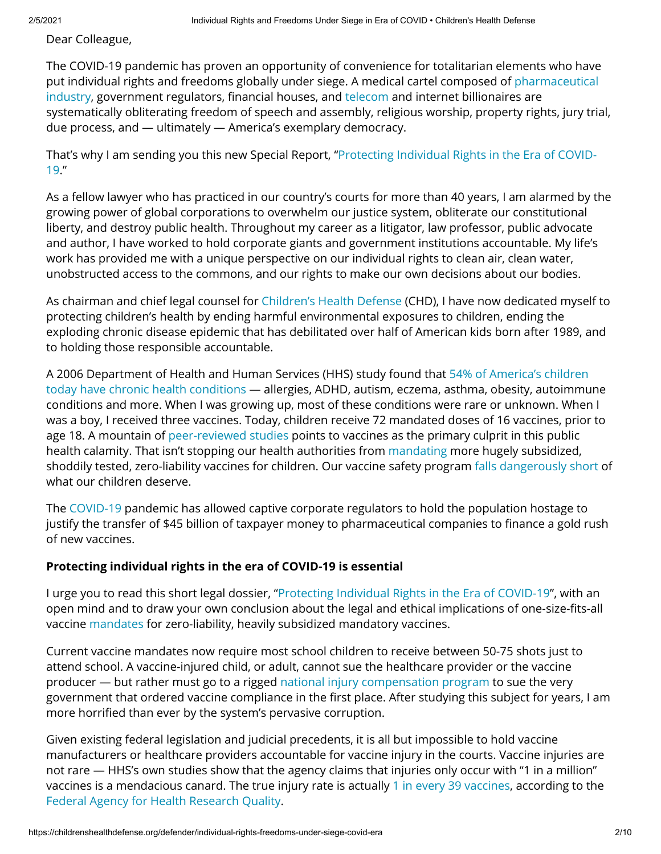Dear Colleague,

The COVID-19 pandemic has proven an opportunity of convenience for totalitarian elements who have put individual rights and freedoms globally under siege. A medical cartel composed of [pharmaceutical](https://childrenshealthdefense.org/defender_category/big-pharma) industry, government regulators, financial houses, and [telecom](https://childrenshealthdefense.org/defender_category/big-tech) and internet billionaires are systematically obliterating freedom of speech and assembly, religious worship, property rights, jury trial, due process, and — ultimately — America's exemplary democracy.

That's why I [am sending](https://childrenshealthdefense.org/wp-content/uploads/protecting-individual-rights-in-the-era-of-covid-19-ebook.pdf) you this new Special Report, "Protecting Individual Rights in the Era of COVID-19."

As a fellow lawyer who has practiced in our country's courts for more than 40 years, I am alarmed by the growing power of global corporations to overwhelm our justice system, obliterate our constitutional liberty, and destroy public health. Throughout my career as a litigator, law professor, public advocate and author, I have worked to hold corporate giants and government institutions accountable. My life's work has provided me with a unique perspective on our individual rights to clean air, clean water, unobstructed access to the commons, and our rights to make our own decisions about our bodies.

As chairman and chief legal counsel for [Children's](https://childrenshealthdefense.org/) Health Defense (CHD), I have now dedicated myself to protecting children's health by ending harmful environmental exposures to children, ending the exploding chronic disease epidemic that has debilitated over half of American kids born after 1989, and to holding those responsible accountable.

A 2006 Department of Health and Human Services (HHS) study found that 54% of America's children today have [chronic health](https://pubmed.ncbi.nlm.nih.gov/21570014/#:~:text=Results%3A%20An%20estimated%2043%25%20of,care%20need%2C%20a%201.6%20point) conditions — allergies, ADHD, autism, eczema, asthma, obesity, autoimmune conditions and more. When I was growing up, most of these conditions were rare or unknown. When I was a boy, I received three vaccines. Today, children receive 72 mandated doses of 16 vaccines, prior to age 18. A mountain of [peer-reviewed studies](https://childrenshealthdefense.org/wp-content/uploads/Vaxxed-Unvaxxed-Parts-I-XII.pdf) points to vaccines as the primary culprit in this public health calamity. That isn't stopping our health authorities from [mandating](https://childrenshealthdefense.org/seeking-justice/legal/legal-updates-for-new-york/#NY4) more hugely subsidized, shoddily tested, zero-liability vaccines for children. Our vaccine safety program falls [dangerously](https://childrenshealthdefense.org/news/congress-gets-vaccine-safety-project-details-including-actions-needed-for-sound-science-and-transparency/) short of what our children deserve.

The [COVID-19](https://childrenshealthdefense.org/defender/covid-19-vaccine-news) pandemic has allowed captive corporate regulators to hold the population hostage to justify the transfer of \$45 billion of taxpayer money to pharmaceutical companies to finance a gold rush of new vaccines.

#### **Protecting individual rights in the era of COVID-19 is essential**

I urge you to read this short legal dossier, "[Protecting](https://childrenshealthdefense.org/wp-content/uploads/protecting-individual-rights-in-the-era-of-covid-19-ebook.pdf) Individual Rights in the Era of COVID-19", with an open mind and to draw your own conclusion about the legal and ethical implications of one-size-fits-all vaccine [mandates](https://childrenshealthdefense.org/defender/vaccine-mandates-an-erosion-of-civil-rights-chd-e-book-available-now/) for zero-liability, heavily subsidized mandatory vaccines.

Current vaccine mandates now require most school children to receive between 50-75 shots just to attend school. A vaccine-injured child, or adult, cannot sue the healthcare provider or the vaccine producer — but rather must go to a rigged national injury [compensation](https://childrenshealthdefense.org/national-vaccine-injury-compensation-program/) program to sue the very government that ordered vaccine compliance in the first place. After studying this subject for years, I am more horrified than ever by the system's pervasive corruption.

Given existing federal legislation and judicial precedents, it is all but impossible to hold vaccine manufacturers or healthcare providers accountable for vaccine injury in the courts. Vaccine injuries are not rare — HHS's own studies show that the agency claims that injuries only occur with "1 in a million" vaccines is a mendacious canard. The true injury rate is actually 1 in every 39 [vaccines,](https://childrenshealthdefense.org/news/vaccine-injuries-ratio-one-for-every-39-vaccines-administered/) according to the Federal Agency for Health [Research](https://digital.ahrq.gov/ahrq-funded-projects/electronic-support-public-health-vaccine-adverse-event-reporting-system) Quality.